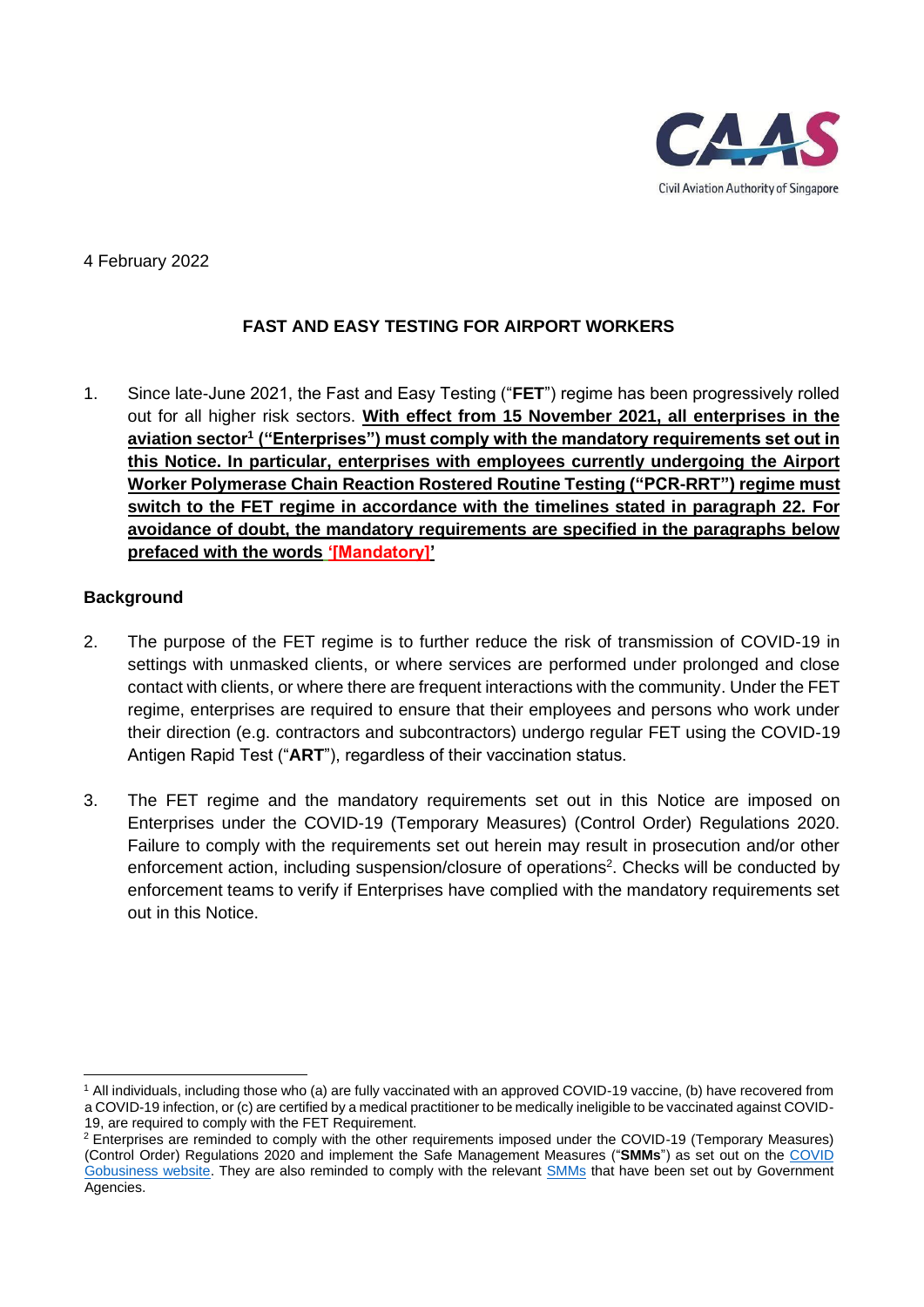

# 4 February 2022

# **FAST AND EASY TESTING FOR AIRPORT WORKERS**

1. Since late-June 2021, the Fast and Easy Testing ("**FET**") regime has been progressively rolled out for all higher risk sectors. **With effect from 15 November 2021, all enterprises in the aviation sector<sup>1</sup> ("Enterprises") must comply with the mandatory requirements set out in this Notice. In particular, enterprises with employees currently undergoing the Airport Worker Polymerase Chain Reaction Rostered Routine Testing ("PCR-RRT") regime must switch to the FET regime in accordance with the timelines stated in paragraph 22. For avoidance of doubt, the mandatory requirements are specified in the paragraphs below prefaced with the words '[Mandatory]'** 

#### **Background**

- 2. The purpose of the FET regime is to further reduce the risk of transmission of COVID-19 in settings with unmasked clients, or where services are performed under prolonged and close contact with clients, or where there are frequent interactions with the community. Under the FET regime, enterprises are required to ensure that their employees and persons who work under their direction (e.g. contractors and subcontractors) undergo regular FET using the COVID-19 Antigen Rapid Test ("**ART**"), regardless of their vaccination status.
- 3. The FET regime and the mandatory requirements set out in this Notice are imposed on Enterprises under the COVID-19 (Temporary Measures) (Control Order) Regulations 2020. Failure to comply with the requirements set out herein may result in prosecution and/or other enforcement action, including suspension/closure of operations<sup>2</sup>. Checks will be conducted by enforcement teams to verify if Enterprises have complied with the mandatory requirements set out in this Notice.

<sup>1</sup> All individuals, including those who (a) are fully vaccinated with an approved COVID-19 vaccine, (b) have recovered from a COVID-19 infection, or (c) are certified by a medical practitioner to be medically ineligible to be vaccinated against COVID-19, are required to comply with the FET Requirement.

<sup>&</sup>lt;sup>2</sup> Enterprises are reminded to comply with the other requirements imposed under the COVID-19 (Temporary Measures) (Control Order) Regulations 2020 and implement the [Safe Management Measures](https://www.mom.gov.sg/covid-19/requirements-for-safe-management-measures) ("**SMMs**") as set out on the [COVID](https://www.gobusiness.gov.sg/covid/)  [Gobusiness website.](https://www.gobusiness.gov.sg/covid/) They are also reminded to comply with the relevant [SMMs](https://www.enterprisesg.gov.sg/covid-19/safe-distance/#FB) that have been set out by Government Agencies.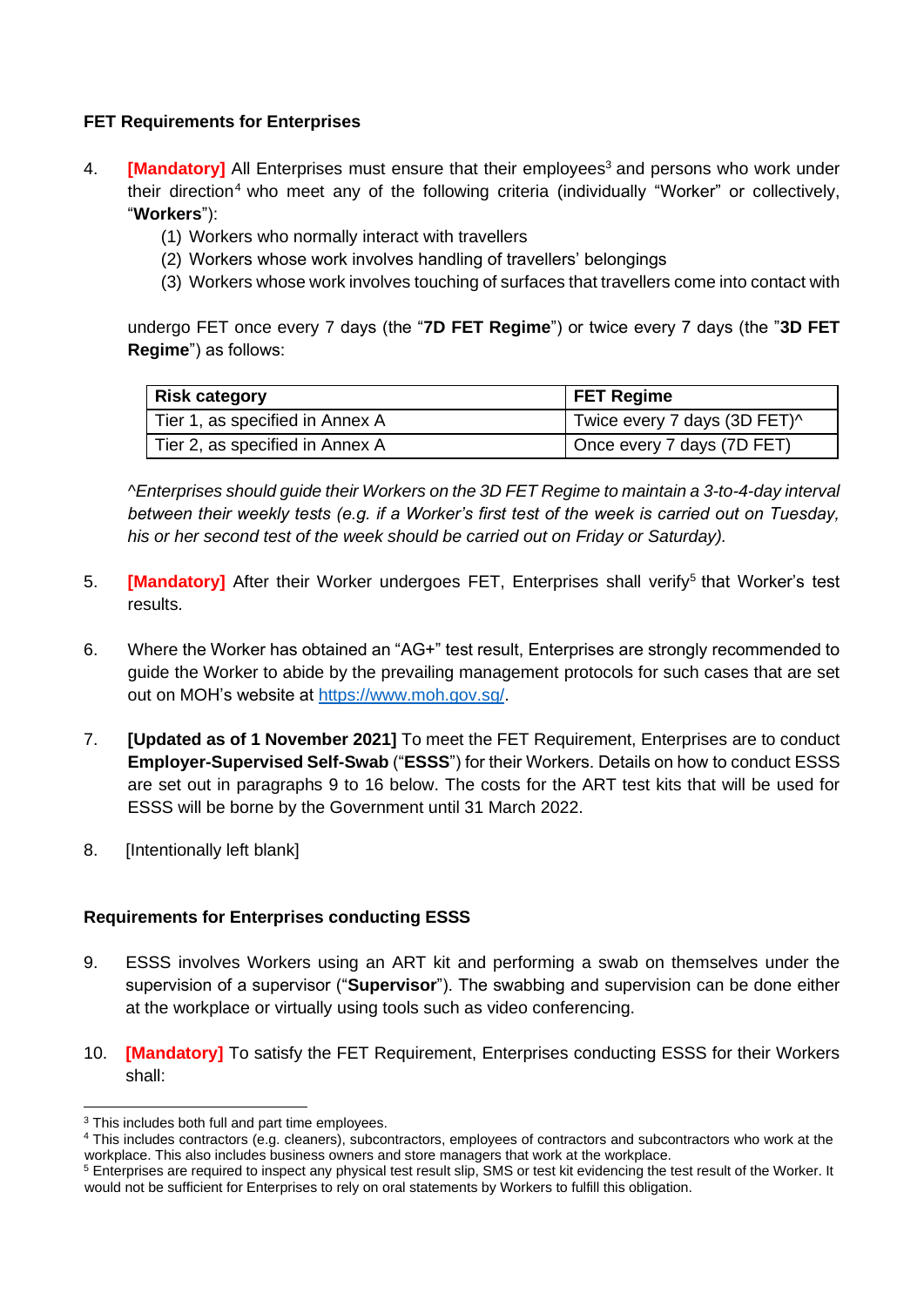## **FET Requirements for Enterprises**

- 4. **[Mandatory]** All Enterprises must ensure that their employees<sup>3</sup> and persons who work under their direction<sup>4</sup> who meet any of the following criteria (individually "Worker" or collectively, "**Workers**"):
	- (1) Workers who normally interact with travellers
	- (2) Workers whose work involves handling of travellers' belongings
	- (3) Workers whose work involves touching of surfaces that travellers come into contact with

undergo FET once every 7 days (the "**7D FET Regime**") or twice every 7 days (the "**3D FET Regime**") as follows:

| <b>Risk category</b>            | <b>FET Regime</b>            |  |
|---------------------------------|------------------------------|--|
| Tier 1, as specified in Annex A | Twice every 7 days (3D FET)^ |  |
| Tier 2, as specified in Annex A | Once every 7 days (7D FET)   |  |

*^Enterprises should guide their Workers on the 3D FET Regime to maintain a 3-to-4-day interval between their weekly tests (e.g. if a Worker's first test of the week is carried out on Tuesday, his or her second test of the week should be carried out on Friday or Saturday).*

- 5. **[Mandatory]** After their Worker undergoes FET, Enterprises shall verify<sup>5</sup> that Worker's test results.
- 6. Where the Worker has obtained an "AG+" test result, Enterprises are strongly recommended to guide the Worker to abide by the prevailing management protocols for such cases that are set out on MOH's website at [https://www.moh.gov.sg/.](https://www.moh.gov.sg/)
- 7. **[Updated as of 1 November 2021]** To meet the FET Requirement, Enterprises are to conduct **Employer-Supervised Self-Swab** ("**ESSS**") for their Workers. Details on how to conduct ESSS are set out in paragraphs 9 to 16 below. The costs for the ART test kits that will be used for ESSS will be borne by the Government until 31 March 2022.
- 8. [Intentionally left blank]

#### **Requirements for Enterprises conducting ESSS**

- 9. ESSS involves Workers using an ART kit and performing a swab on themselves under the supervision of a supervisor ("**Supervisor**"). The swabbing and supervision can be done either at the workplace or virtually using tools such as video conferencing.
- 10. **[Mandatory]** To satisfy the FET Requirement, Enterprises conducting ESSS for their Workers shall:

<sup>&</sup>lt;sup>3</sup> This includes both full and part time employees.

<sup>4</sup> This includes contractors (e.g. cleaners), subcontractors, employees of contractors and subcontractors who work at the workplace. This also includes business owners and store managers that work at the workplace.

<sup>5</sup> Enterprises are required to inspect any physical test result slip, SMS or test kit evidencing the test result of the Worker. It would not be sufficient for Enterprises to rely on oral statements by Workers to fulfill this obligation.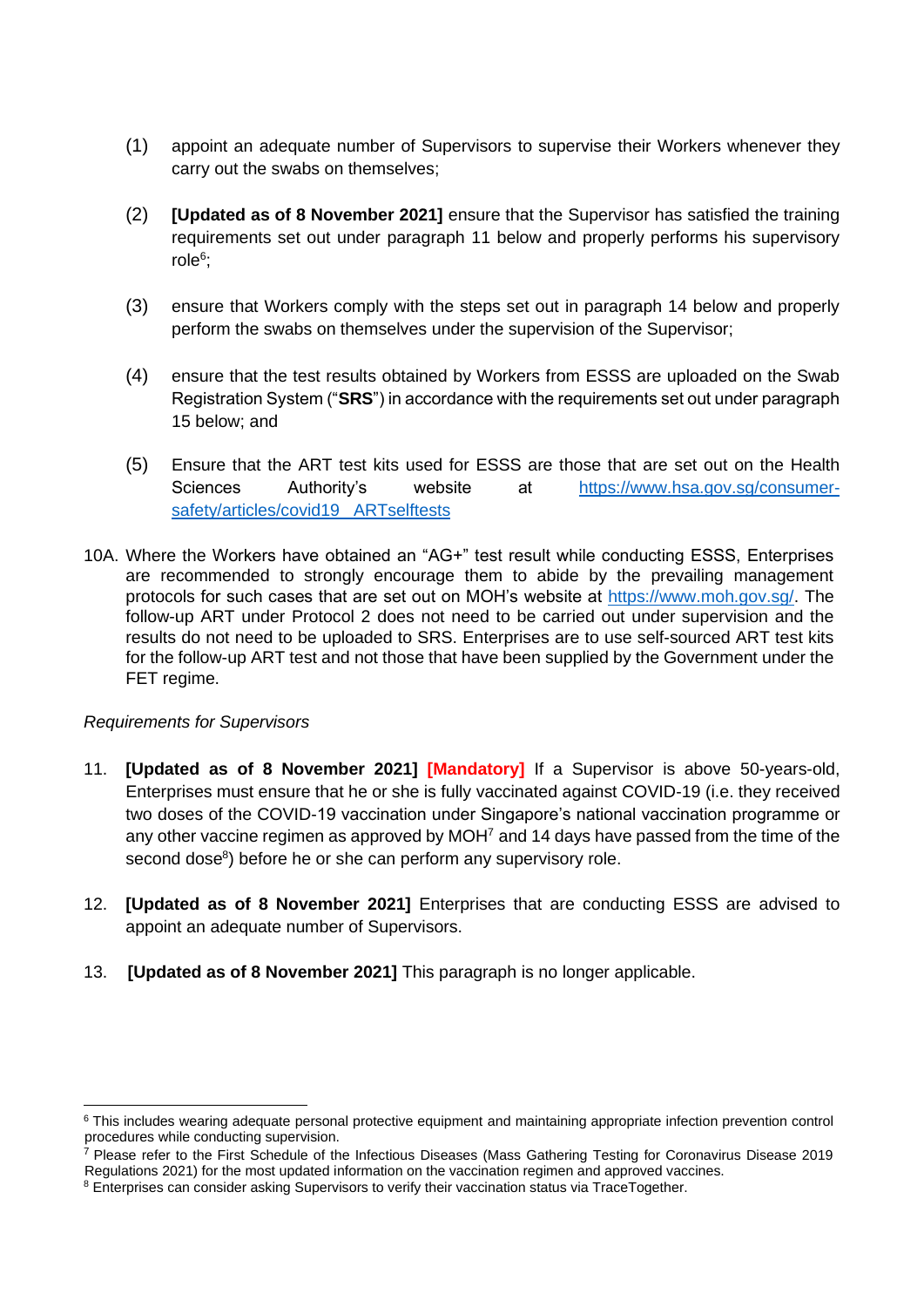- (1) appoint an adequate number of Supervisors to supervise their Workers whenever they carry out the swabs on themselves;
- (2) **[Updated as of 8 November 2021]** ensure that the Supervisor has satisfied the training requirements set out under paragraph 11 below and properly performs his supervisory role<sup>6</sup>;
- (3) ensure that Workers comply with the steps set out in paragraph 14 below and properly perform the swabs on themselves under the supervision of the Supervisor;
- (4) ensure that the test results obtained by Workers from ESSS are uploaded on the Swab Registration System ("**SRS**") in accordance with the requirements set out under paragraph 15 below; and
- (5) Ensure that the ART test kits used for ESSS are those that are set out on the Health Sciences Authority's website at [https://www.hsa.gov.sg/consumer](https://www.hsa.gov.sg/consumer-safety/articles/covid19_%20ARTselftests)safety/articles/covid19\_ARTselftests
- 10A. Where the Workers have obtained an "AG+" test result while conducting ESSS, Enterprises are recommended to strongly encourage them to abide by the prevailing management protocols for such cases that are set out on MOH's website at [https://www.moh.gov.sg/.](https://www.moh.gov.sg/) The follow-up ART under Protocol 2 does not need to be carried out under supervision and the results do not need to be uploaded to SRS. Enterprises are to use self-sourced ART test kits for the follow-up ART test and not those that have been supplied by the Government under the FET regime.

#### *Requirements for Supervisors*

- 11. **[Updated as of 8 November 2021] [Mandatory]** If a Supervisor is above 50-years-old, Enterprises must ensure that he or she is fully vaccinated against COVID-19 (i.e. they received two doses of the COVID-19 vaccination under Singapore's national vaccination programme or any other vaccine regimen as approved by MOH<sup>7</sup> and 14 days have passed from the time of the second dose<sup>8</sup>) before he or she can perform any supervisory role.
- 12. **[Updated as of 8 November 2021]** Enterprises that are conducting ESSS are advised to appoint an adequate number of Supervisors.
- 13. **[Updated as of 8 November 2021]** This paragraph is no longer applicable.

<sup>&</sup>lt;sup>6</sup> This includes wearing adequate personal protective equipment and maintaining appropriate infection prevention control procedures while conducting supervision.

<sup>7</sup> Please refer to the First Schedule of the Infectious Diseases (Mass Gathering Testing for Coronavirus Disease 2019 Regulations 2021) for the most updated information on the vaccination regimen and approved vaccines.

<sup>&</sup>lt;sup>8</sup> Enterprises can consider asking Supervisors to verify their vaccination status via TraceTogether.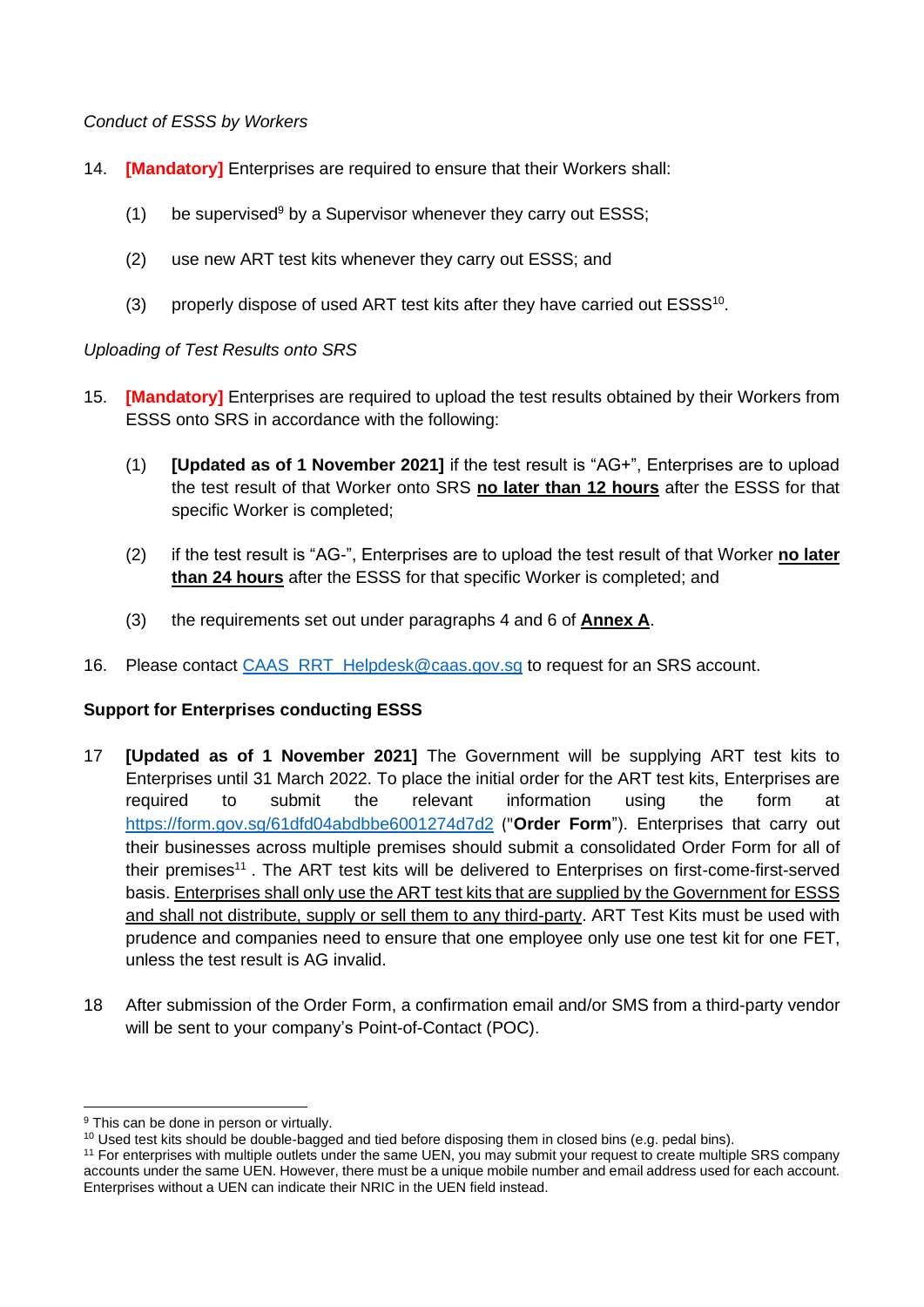#### *Conduct of ESSS by Workers*

- 14. **[Mandatory]** Enterprises are required to ensure that their Workers shall:
	- (1) be supervised<sup>9</sup> by a Supervisor whenever they carry out ESSS;
	- (2) use new ART test kits whenever they carry out ESSS; and
	- (3) properly dispose of used ART test kits after they have carried out  $ESSS<sup>10</sup>$ .

## *Uploading of Test Results onto SRS*

- 15. **[Mandatory]** Enterprises are required to upload the test results obtained by their Workers from ESSS onto SRS in accordance with the following:
	- (1) **[Updated as of 1 November 2021]** if the test result is "AG+", Enterprises are to upload the test result of that Worker onto SRS **no later than 12 hours** after the ESSS for that specific Worker is completed;
	- (2) if the test result is "AG-", Enterprises are to upload the test result of that Worker **no later than 24 hours** after the ESSS for that specific Worker is completed; and
	- (3) the requirements set out under paragraphs 4 and 6 of **Annex A**.
- 16. Please contact [CAAS\\_RRT\\_Helpdesk@caas.gov.sg](mailto:CAAS_RRT_Helpdesk@caas.gov.sg) to request for an SRS account.

# **Support for Enterprises conducting ESSS**

- 17 **[Updated as of 1 November 2021]** The Government will be supplying ART test kits to Enterprises until 31 March 2022. To place the initial order for the ART test kits, Enterprises are required to submit the relevant information using the form at <https://form.gov.sg/61dfd04abdbbe6001274d7d2> ("**Order Form**"). Enterprises that carry out their businesses across multiple premises should submit a consolidated Order Form for all of their premises<sup>11</sup>. The ART test kits will be delivered to Enterprises on first-come-first-served basis. Enterprises shall only use the ART test kits that are supplied by the Government for ESSS and shall not distribute, supply or sell them to any third-party. ART Test Kits must be used with prudence and companies need to ensure that one employee only use one test kit for one FET, unless the test result is AG invalid.
- 18 After submission of the Order Form, a confirmation email and/or SMS from a third-party vendor will be sent to your company's Point-of-Contact (POC).

<sup>&</sup>lt;sup>9</sup> This can be done in person or virtually.

<sup>&</sup>lt;sup>10</sup> Used test kits should be double-bagged and tied before disposing them in closed bins (e.g. pedal bins).

<sup>&</sup>lt;sup>11</sup> For enterprises with multiple outlets under the same UEN, you may submit your request to create multiple SRS company accounts under the same UEN. However, there must be a unique mobile number and email address used for each account. Enterprises without a UEN can indicate their NRIC in the UEN field instead.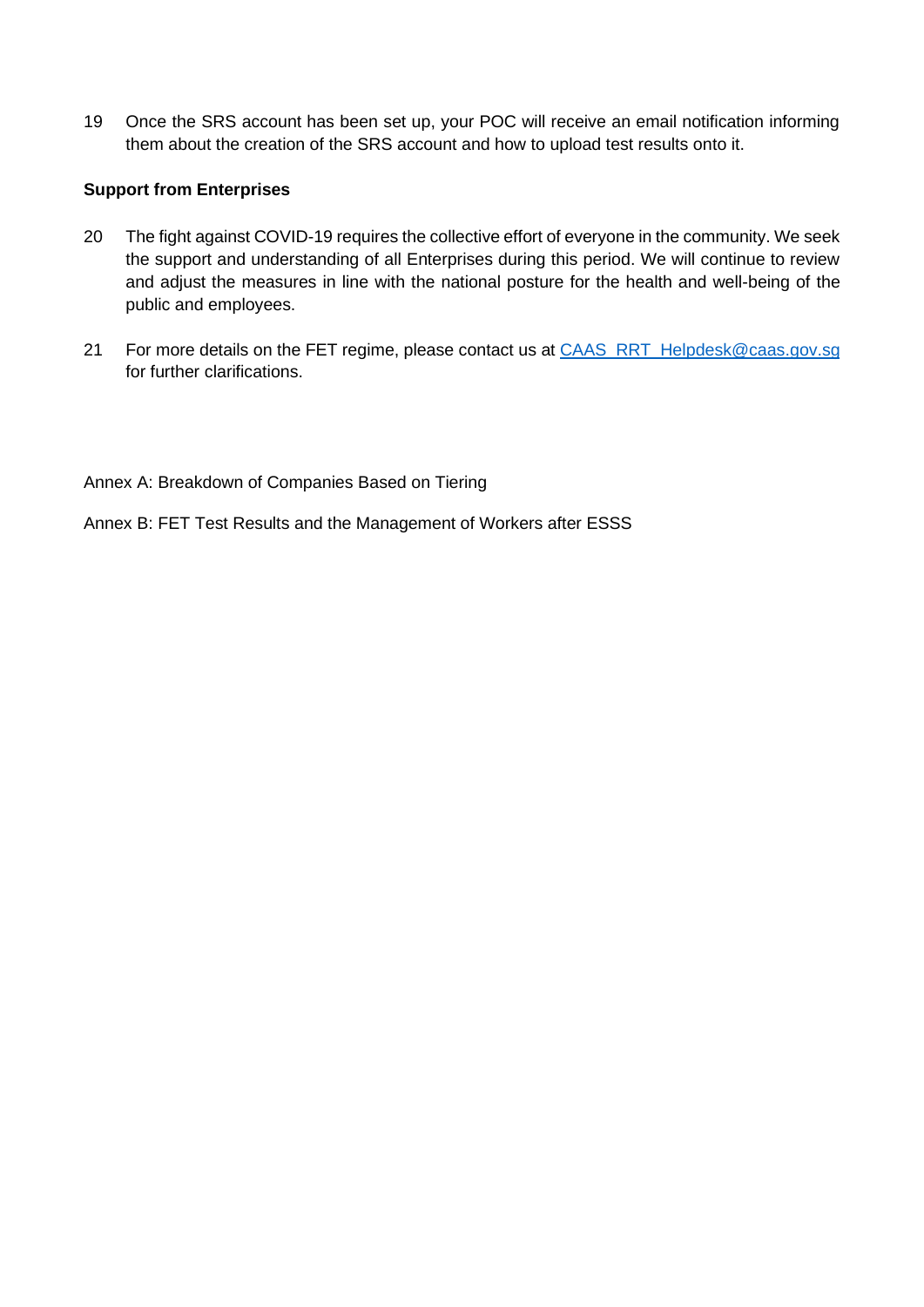19 Once the SRS account has been set up, your POC will receive an email notification informing them about the creation of the SRS account and how to upload test results onto it.

## **Support from Enterprises**

- 20 The fight against COVID-19 requires the collective effort of everyone in the community. We seek the support and understanding of all Enterprises during this period. We will continue to review and adjust the measures in line with the national posture for the health and well-being of the public and employees.
- 21 For more details on the FET regime, please contact us at [CAAS\\_RRT\\_Helpdesk@caas.gov.sg](mailto:CAAS_RRT_Helpdesk@caas.gov.sg) for further clarifications.

Annex A: Breakdown of Companies Based on Tiering

Annex B: FET Test Results and the Management of Workers after ESSS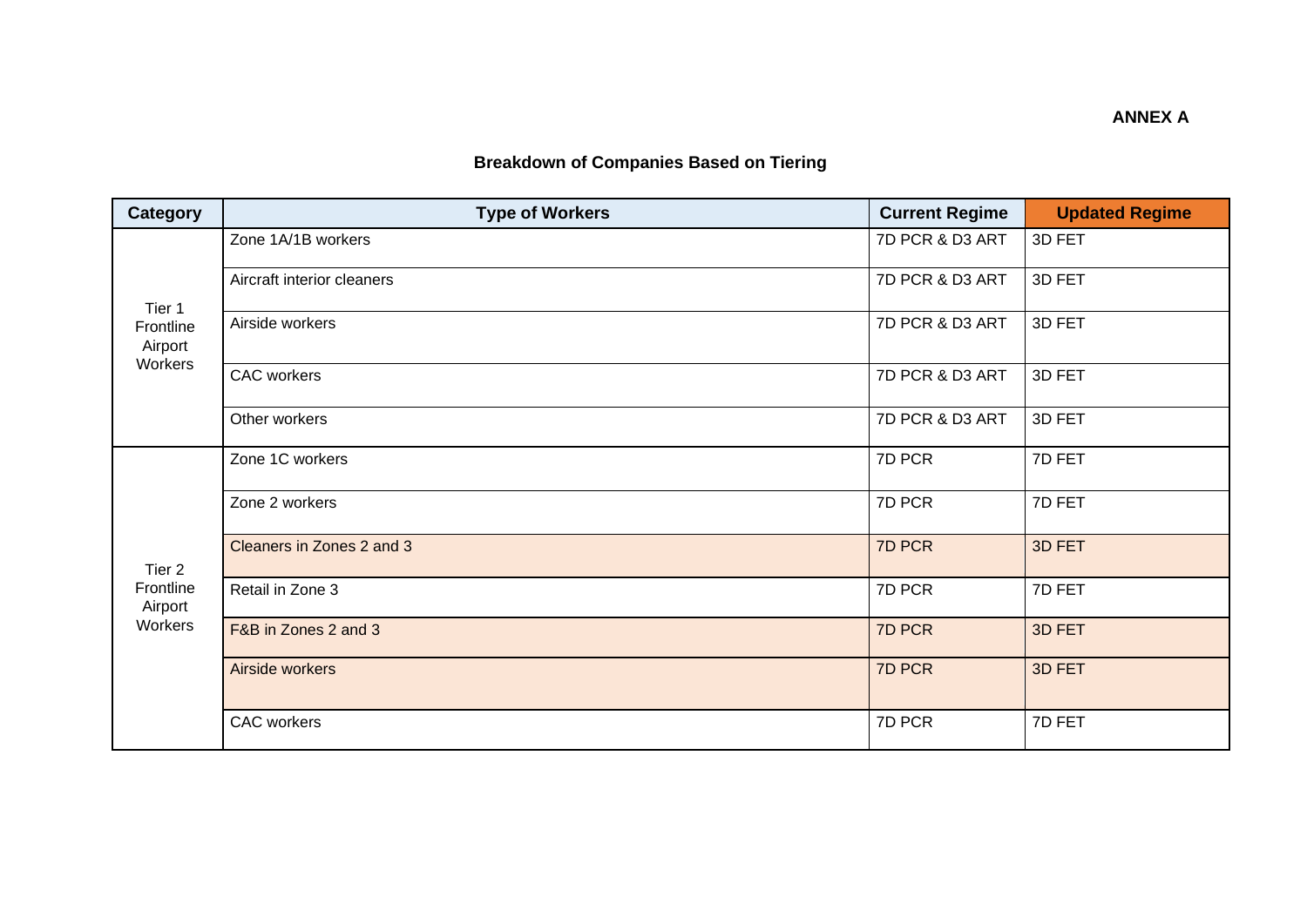# **Breakdown of Companies Based on Tiering**

| <b>Category</b>                           | <b>Type of Workers</b>     | <b>Current Regime</b> | <b>Updated Regime</b> |
|-------------------------------------------|----------------------------|-----------------------|-----------------------|
| Tier 1<br>Frontline<br>Airport<br>Workers | Zone 1A/1B workers         | 7D PCR & D3 ART       | 3D FET                |
|                                           | Aircraft interior cleaners | 7D PCR & D3 ART       | 3D FET                |
|                                           | Airside workers            | 7D PCR & D3 ART       | 3D FET                |
|                                           | <b>CAC</b> workers         | 7D PCR & D3 ART       | 3D FET                |
|                                           | Other workers              | 7D PCR & D3 ART       | 3D FET                |
| Tier 2<br>Frontline<br>Airport<br>Workers | Zone 1C workers            | 7D PCR                | 7D FET                |
|                                           | Zone 2 workers             | 7D PCR                | 7D FET                |
|                                           | Cleaners in Zones 2 and 3  | 7D PCR                | 3D FET                |
|                                           | Retail in Zone 3           | 7D PCR                | 7D FET                |
|                                           | F&B in Zones 2 and 3       | 7D PCR                | 3D FET                |
|                                           | Airside workers            | 7D PCR                | 3D FET                |
|                                           | <b>CAC</b> workers         | 7D PCR                | 7D FET                |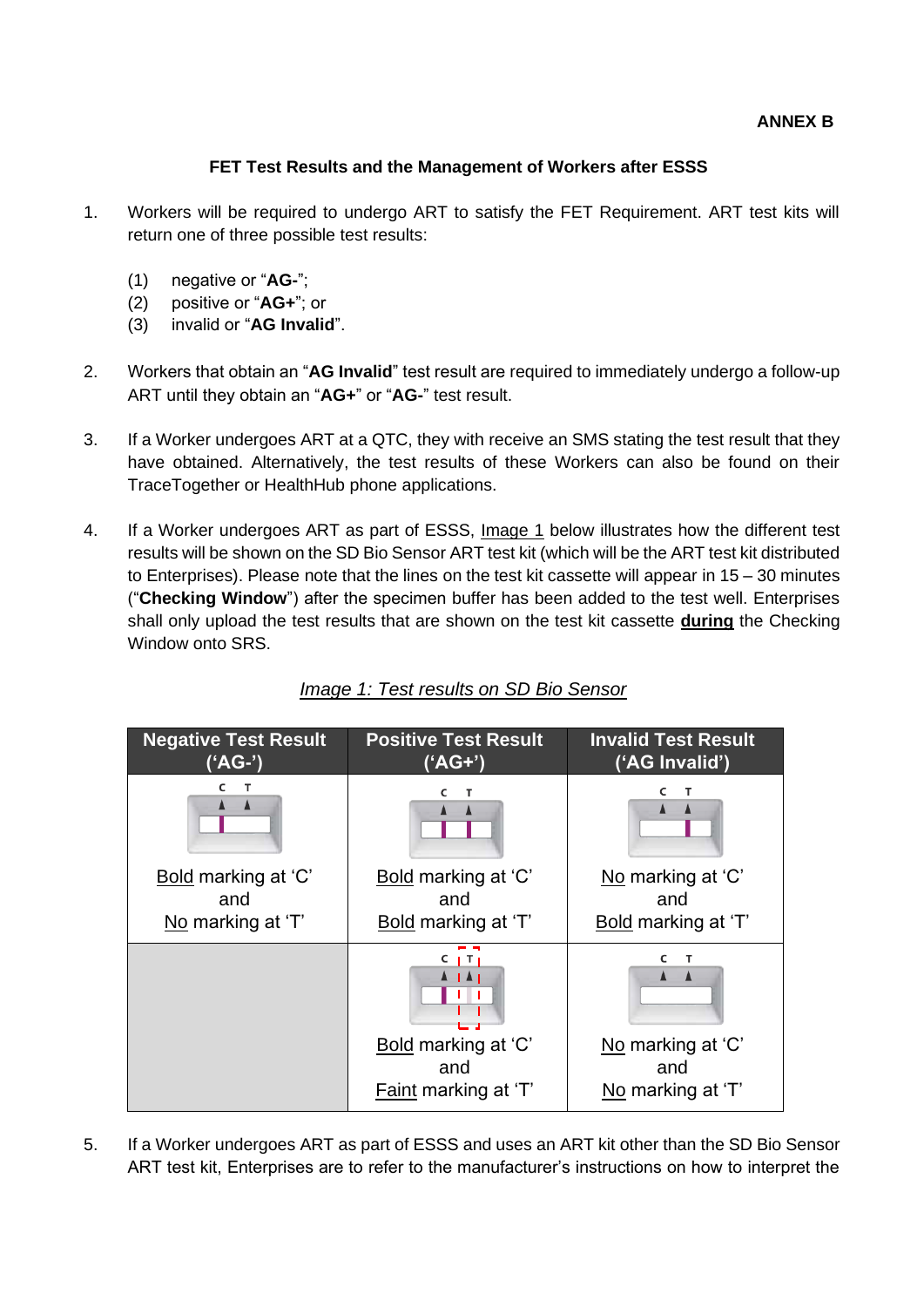#### **ANNEX B**

## **FET Test Results and the Management of Workers after ESSS**

- 1. Workers will be required to undergo ART to satisfy the FET Requirement. ART test kits will return one of three possible test results:
	- (1) negative or "**AG-**";
	- (2) positive or "**AG+**"; or
	- (3) invalid or "**AG Invalid**".
- 2. Workers that obtain an "**AG Invalid**" test result are required to immediately undergo a follow-up ART until they obtain an "**AG+**" or "**AG-**" test result.
- 3. If a Worker undergoes ART at a QTC, they with receive an SMS stating the test result that they have obtained. Alternatively, the test results of these Workers can also be found on their TraceTogether or HealthHub phone applications.
- 4. If a Worker undergoes ART as part of ESSS, Image 1 below illustrates how the different test results will be shown on the SD Bio Sensor ART test kit (which will be the ART test kit distributed to Enterprises). Please note that the lines on the test kit cassette will appear in 15 – 30 minutes ("**Checking Window**") after the specimen buffer has been added to the test well. Enterprises shall only upload the test results that are shown on the test kit cassette **during** the Checking Window onto SRS.



# *Image 1: Test results on SD Bio Sensor*

5. If a Worker undergoes ART as part of ESSS and uses an ART kit other than the SD Bio Sensor ART test kit, Enterprises are to refer to the manufacturer's instructions on how to interpret the